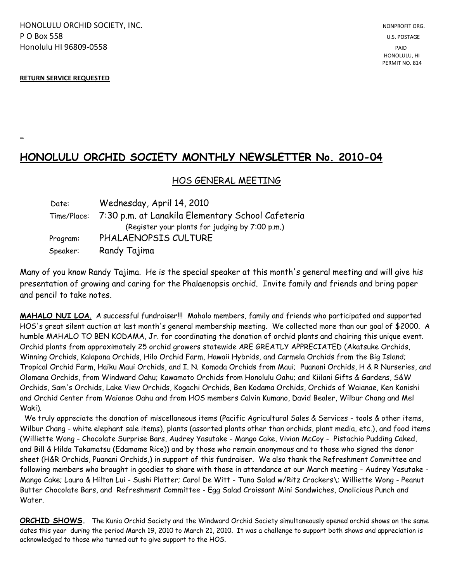HONOLULU ORCHID SOCIETY, INC. NONPROFIT ORG. NONPROFIT ORG. **P O Box 558** U.S. POSTAGE Honolulu HI 96809-0558 PAID

#### **RETURN SERVICE REQUESTED**

**\_**

# **HONOLULU ORCHID SOCIETY MONTHLY NEWSLETTER No. 2010-04**

## HOS GENERAL MEETING

| Date:    | Wednesday, April 14, 2010                                     |
|----------|---------------------------------------------------------------|
|          | Time/Place: 7:30 p.m. at Lanakila Elementary School Cafeteria |
|          | (Register your plants for judging by 7:00 p.m.)               |
| Program: | PHALAENOPSIS CULTURE                                          |
| Speaker: | Randy Tajima                                                  |

Many of you know Randy Tajima. He is the special speaker at this month's general meeting and will give his presentation of growing and caring for the Phalaenopsis orchid. Invite family and friends and bring paper and pencil to take notes.

**MAHALO NUI LOA**. A successful fundraiser!!! Mahalo members, family and friends who participated and supported HOS's great silent auction at last month's general membership meeting. We collected more than our goal of \$2000. A humble MAHALO TO BEN KODAMA, Jr. for coordinating the donation of orchid plants and chairing this unique event. Orchid plants from approximately 25 orchid growers statewide ARE GREATLY APPRECIATED (Akatsuke Orchids, Winning Orchids, Kalapana Orchids, Hilo Orchid Farm, Hawaii Hybrids, and Carmela Orchids from the Big Island; Tropical Orchid Farm, Haiku Maui Orchids, and I. N. Komoda Orchids from Maui; Puanani Orchids, H & R Nurseries, and Olomana Orchids, from Windward Oahu; Kawamoto Orchids from Honolulu Oahu; and Kiilani Gifts & Gardens, S&W Orchids, Sam's Orchids, Lake View Orchids, Kogachi Orchids, Ben Kodama Orchids, Orchids of Waianae, Ken Konishi and Orchid Center from Waianae Oahu and from HOS members Calvin Kumano, David Bealer, Wilbur Chang and Mel Waki).

 We truly appreciate the donation of miscellaneous items (Pacific Agricultural Sales & Services - tools & other items, Wilbur Chang - white elephant sale items), plants (assorted plants other than orchids, plant media, etc.), and food items (Williette Wong - Chocolate Surprise Bars, Audrey Yasutake - Mango Cake, Vivian McCoy - Pistachio Pudding Caked, and Bill & Hilda Takamatsu (Edamame Rice)) and by those who remain anonymous and to those who signed the donor sheet (H&R Orchids, Puanani Orchids,) in support of this fundraiser. We also thank the Refreshment Committee and following members who brought in goodies to share with those in attendance at our March meeting - Audrey Yasutake - Mango Cake; Laura & Hilton Lui - Sushi Platter; Carol De Witt - Tuna Salad w/Ritz Crackers\; Williette Wong - Peanut Butter Chocolate Bars, and Refreshment Committee - Egg Salad Croissant Mini Sandwiches, Onolicious Punch and Water.

**ORCHID SHOWS.** The Kunia Orchid Society and the Windward Orchid Society simultaneously opened orchid shows on the same dates this year during the period March 19, 2010 to March 21, 2010. It was a challenge to support both shows and appreciation is acknowledged to those who turned out to give support to the HOS.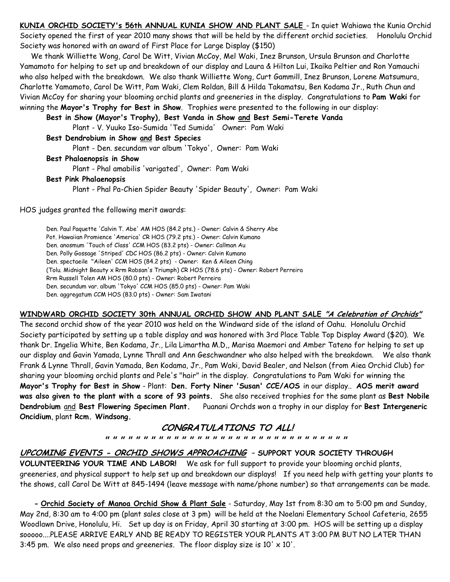**KUNIA ORCHID SOCIETY's 56th ANNUAL KUNIA SHOW AND PLANT SALE** - In quiet Wahiawa the Kunia Orchid Society opened the first of year 2010 many shows that will be held by the different orchid societies. Honolulu Orchid Society was honored with an award of First Place for Large Display (\$150)

 We thank Williette Wong, Carol De Witt, Vivian McCoy, Mel Waki, Inez Brunson, Ursula Brunson and Charlotte Yamamoto for helping to set up and breakdown of our display and Laura & Hilton Lui, Ikaika Peltier and Ron Yamauchi who also helped with the breakdown. We also thank Williette Wong, Curt Gammill, Inez Brunson, Lorene Matsumura, Charlotte Yamamoto, Carol De Witt, Pam Waki, Clem Roldan, Bill & Hilda Takamatsu, Ben Kodama Jr., Ruth Chun and Vivian McCoy for sharing your blooming orchid plants and greeneries in the display. Congratulations to **Pam Waki** for winning the **Mayor's Trophy for Best in Show**. Trophies were presented to the following in our display:

**Best in Show (Mayor's Trophy), Best Vanda in Show and Best Semi-Terete Vanda**

Plant - V. Yuuko Iso-Sumida 'Ted Sumida' Owner: Pam Waki

**Best Dendrobium in Show and Best Species**

Plant - Den. secundam var album 'Tokyo', Owner: Pam Waki

**Best Phalaenopsis in Show**

Plant - Phal amabilis 'varigated', Owner: Pam Waki

#### **Best Pink Phalaenopsis**

Plant - Phal Pa-Chien Spider Beauty 'Spider Beauty', Owner: Pam Waki

HOS judges granted the following merit awards:

Den. Paul Paquette 'Calvin T. Abe' AM HOS (84.2 pts.) - Owner: Calvin & Sherry Abe Pot. Hawaiian Promience 'America' CR HOS (79.2 pts.) - Owner: Calvin Kumano Den. anosmum 'Touch of Class' CCM HOS (83.2 pts) - Owner: Callman Au Den. Polly Gossage 'Striped' CDC HOS (86.2 pts) - Owner: Calvin Kumano Den. spectaeile "Aileen' CCM HOS (84.2 pts) - Owner: Ken & Aileen Ching (Tolu. Midnight Beauty x Rrm Robsan's Triumph) CR HOS (78.6 pts) - Owner: Robert Perreira Rrm Russell Tolen AM HOS (80.0 pts) - Owner: Robert Perreira Den. secundum var. album 'Tokyo' CCM HOS (85.0 pts) - Owner: Pam Waki Den. aggregatum CCM HOS (83.0 pts) - Owner: Sam Iwatani

#### **WINDWARD ORCHID SOCIETY 30th ANNUAL ORCHID SHOW AND PLANT SALE "A Celebration of Orchids"**

The second orchid show of the year 2010 was held on the Windward side of the island of Oahu. Honolulu Orchid Society participated by setting up a table display and was honored with 3rd Place Table Top Display Award (\$20). We thank Dr. Ingelia White, Ben Kodama, Jr., Lila Limartha M.D,, Marisa Maemori and Amber Tateno for helping to set up our display and Gavin Yamada, Lynne Thrall and Ann Geschwandner who also helped with the breakdown. We also thank Frank & Lynne Thrall, Gavin Yamada, Ben Kodama, Jr., Pam Waki, David Bealer, and Nelson (from Aiea Orchid Club) for sharing your blooming orchid plants and Pele's "hair" in the display. Congratulations to Pam Waki for winning the **Mayor's Trophy for Best in Show** - Plant: **Den. Forty Niner 'Susan' CCE/AOS** in our display.. **AOS merit award was also given to the plant with a score of 93 points.** She also received trophies for the same plant as **Best Nobile Dendrobium** and **Best Flowering Specimen Plant.** Puanani Orchds won a trophy in our display for **Best Intergeneric Oncidium**, plant **Rcm. Windsong.** 

# **CONGRATULATIONS TO ALL!**

 **" " " " " " " " " " " " " " " " " " " " " " " " " " " " " " " "**

## **UPCOMING EVENTS - ORCHID SHOWS APPROACHING** - **SUPPORT YOUR SOCIETY THROUGH**

**VOLUNTEERING YOUR TIME AND LABOR!** We ask for full support to provide your blooming orchid plants, greeneries, and physical support to help set up and breakdown our displays! If you need help with getting your plants to the shows, call Carol De Witt at 845-1494 (leave message with name/phone number) so that arrangements can be made.

 **- Orchid Society of Manoa Orchid Show & Plant Sale** - Saturday, May 1st from 8:30 am to 5:00 pm and Sunday, May 2nd, 8:30 am to 4:00 pm (plant sales close at 3 pm) will be held at the Noelani Elementary School Cafeteria, 2655 Woodlawn Drive, Honolulu, Hi. Set up day is on Friday, April 30 starting at 3:00 pm. HOS will be setting up a display sooooo....PLEASE ARRIVE EARLY AND BE READY TO REGISTER YOUR PLANTS AT 3:00 PM BUT NO LATER THAN 3:45 pm. We also need props and greeneries. The floor display size is  $10' \times 10'$ .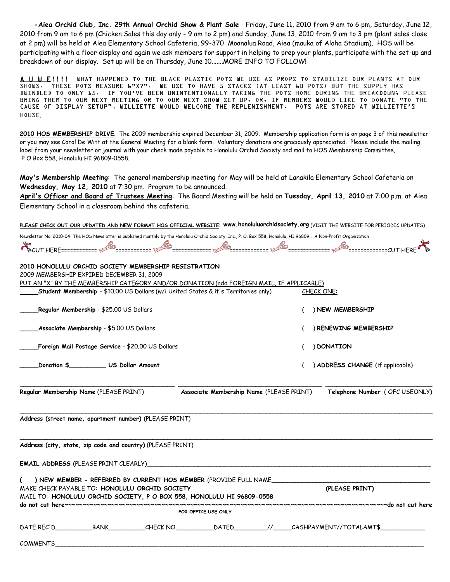**-Aiea Orchid Club, Inc. 29th Annual Orchid Show & Plant Sale** - Friday, June 11, 2010 from 9 am to 6 pm, Saturday, June 12, 2010 from 9 am to 6 pm (Chicken Sales this day only - 9 am to 2 pm) and Sunday, June 13, 2010 from 9 am to 3 pm (plant sales close at 2 pm) will be held at Aiea Elementary School Cafeteria, 99-370 Moanalua Road, Aiea (mauka of Aloha Stadium). HOS will be participating with a floor display and again we ask members for support in helping to prep your plants, participate with the set-up and breakdown of our display. Set up will be on Thursday, June 10.......MORE INFO TO FOLLOW!

A U W E!!!! WHAT HAPPENED TO THE BLACK PLASTIC POTS WE USE AS PROPS TO STABILIZE OUR PLANTS AT OUR SHOWS. THESE POTS MEASURE 6"X7". WE USE TO HAVE 5 STACKS (AT LEAST 60 POTS) BUT THE SUPPLY HAS DWINDLED TO ONLY 15. IF YOU'VE BEEN UNINTENTIONALLY TAKING THE POTS HOME DURING THE BREAKDOWN; PLEASE BRING THEM TO OUR NEXT MEETING OR TO OUR NEXT SHOW SET UP, OR, IF MEMBERS WOULD LIKE TO DONATE "TO THE CAUSE OF DISPLAY SETUP", WILLIETTE WOULD WELCOME THE REPLENISHMENT. POTS ARE STORED AT WILLIETTE'S HOUSE.

**2010 HOS MEMBERSHIP DRIVE**. The 2009 membership expired December 31, 2009. Membership application form is on page 3 of this newsletter or you may see Carol De Witt at the General Meeting for a blank form. Voluntary donations are graciously appreciated. Please include the mailing label from your newsletter or journal with your check made payable to Honolulu Orchid Society and mail to HOS Membership Committee, P O Box 558, Honolulu HI 96809-0558.

**May's Membership Meeting**: The general membership meeting for May will be held at Lanakila Elementary School Cafeteria on **Wednesday, May 12, 2010** at 7:30 pm. Program to be announced.

**April's Officer and Board of Trustees Meeting**: The Board Meeting will be held on **Tuesday, April 13, 2010** at 7:00 p.m. at Aiea Elementary School in a classroom behind the cafeteria.

**PLEASE CHECK OUT OUR UPDATED AND NEW FORMAT HOS OFFICIAL WEBSITE**: **www.honoluluorchidsociety.org** (VISIT THE WEBSITE FOR PERIODIC UPDATES)

Newsletter No. 2010-04 The HOS Newsletter is published monthly by the Honolulu Orchid Society, Inc., P. O. Box 558, Honolulu, HI 96809 . A Non-Profit Organization

CUT HERE============ ============ ============= ============= ============== =============CUT HERE

| 2010 HONOLULU ORCHID SOCIETY MEMBERSHIP REGISTRATION                                                                                                                                                                                |                                  |  |  |  |
|-------------------------------------------------------------------------------------------------------------------------------------------------------------------------------------------------------------------------------------|----------------------------------|--|--|--|
| 2009 MEMBERSHIP EXPIRED DECEMBER 31, 2009<br>PUT AN "X" BY THE MEMBERSHIP CATEGORY AND/OR DONATION (add FOREIGN MAIL, IF APPLICABLE)                                                                                                |                                  |  |  |  |
| <b>Student Membership</b> - \$10.00 US Dollars (w/i United States & it's Territories only)                                                                                                                                          | CHECK ONE:                       |  |  |  |
| Regular Membership - \$25.00 US Dollars                                                                                                                                                                                             | ) NEW MEMBERSHIP                 |  |  |  |
| <b>Associate Membership - \$5.00 US Dollars</b>                                                                                                                                                                                     | RENEWING MEMBERSHIP              |  |  |  |
| <b>Foreign Mail Postage Service - \$20.00 US Dollars</b>                                                                                                                                                                            | ) DONATION                       |  |  |  |
| Donation \$_____________ US Dollar Amount                                                                                                                                                                                           | ) ADDRESS CHANGE (if applicable) |  |  |  |
| Regular Membership Name (PLEASE PRINT)<br>Associate Membership Name (PLEASE PRINT)                                                                                                                                                  | Telephone Number (OFC USEONLY)   |  |  |  |
| Address (street name, apartment number) (PLEASE PRINT)                                                                                                                                                                              |                                  |  |  |  |
| Address (city, state, zip code and country) (PLEASE PRINT)                                                                                                                                                                          |                                  |  |  |  |
| <b>EMAIL ADDRESS</b> (PLEASE PRINT CLEARLY) And the contract of the contract of the contract of the contract of the contract of the contract of the contract of the contract of the contract of the contract of the contract of the |                                  |  |  |  |
| ( ) NEW MEMBER - REFERRED BY CURRENT HOS MEMBER (PROVIDE FULL NAME<br>MAKE CHECK PAYABLE TO: HONOLULU ORCHID SOCIETY<br>MAIL TO: HONOLULU ORCHID SOCIETY, P O BOX 558, HONOLULU HI 96809-0558                                       | (PLEASE PRINT)                   |  |  |  |
|                                                                                                                                                                                                                                     |                                  |  |  |  |
| FOR OFFICE USE ONLY                                                                                                                                                                                                                 |                                  |  |  |  |
|                                                                                                                                                                                                                                     |                                  |  |  |  |
| COMMENTS <b>EXAMPLE 2</b> FOR THE STATE STATE STATES AND THE STATE STATES AND THE STATE STATES OF STATES AND THE STATES OF STATES AND THE STATES OF STATES AND THE STATES OF STATES AND THE STATES OF STATES AND THE STATES OF STAT |                                  |  |  |  |
|                                                                                                                                                                                                                                     |                                  |  |  |  |